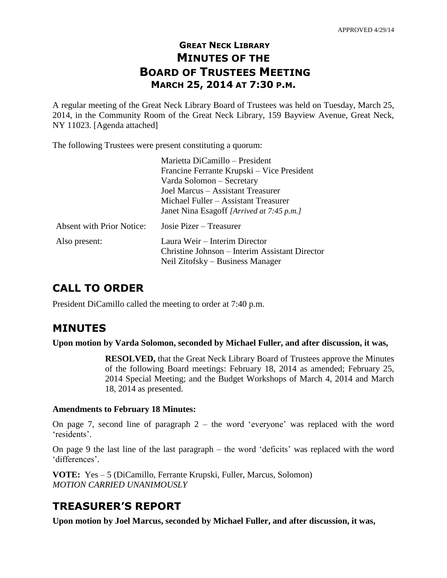# **GREAT NECK LIBRARY MINUTES OF THE BOARD OF TRUSTEES MEETING MARCH 25, 2014 AT 7:30 P.M.**

A regular meeting of the Great Neck Library Board of Trustees was held on Tuesday, March 25, 2014, in the Community Room of the Great Neck Library, 159 Bayview Avenue, Great Neck, NY 11023. [Agenda attached]

The following Trustees were present constituting a quorum:

|                                  | Marietta DiCamillo – President                 |
|----------------------------------|------------------------------------------------|
|                                  | Francine Ferrante Krupski – Vice President     |
|                                  | Varda Solomon - Secretary                      |
|                                  | Joel Marcus – Assistant Treasurer              |
|                                  | Michael Fuller – Assistant Treasurer           |
|                                  | Janet Nina Esagoff [Arrived at 7:45 p.m.]      |
| <b>Absent with Prior Notice:</b> | Josie Pizer – Treasurer                        |
| Also present:                    | Laura Weir - Interim Director                  |
|                                  | Christine Johnson – Interim Assistant Director |
|                                  | Neil Zitofsky – Business Manager               |

# **CALL TO ORDER**

President DiCamillo called the meeting to order at 7:40 p.m.

# **MINUTES**

**Upon motion by Varda Solomon, seconded by Michael Fuller, and after discussion, it was,**

**RESOLVED,** that the Great Neck Library Board of Trustees approve the Minutes of the following Board meetings: February 18, 2014 as amended; February 25, 2014 Special Meeting; and the Budget Workshops of March 4, 2014 and March 18, 2014 as presented.

## **Amendments to February 18 Minutes:**

On page 7, second line of paragraph 2 – the word 'everyone' was replaced with the word 'residents'.

On page 9 the last line of the last paragraph – the word 'deficits' was replaced with the word 'differences'.

**VOTE:** Yes – 5 (DiCamillo, Ferrante Krupski, Fuller, Marcus, Solomon) *MOTION CARRIED UNANIMOUSLY*

# **TREASURER'S REPORT**

**Upon motion by Joel Marcus, seconded by Michael Fuller, and after discussion, it was,**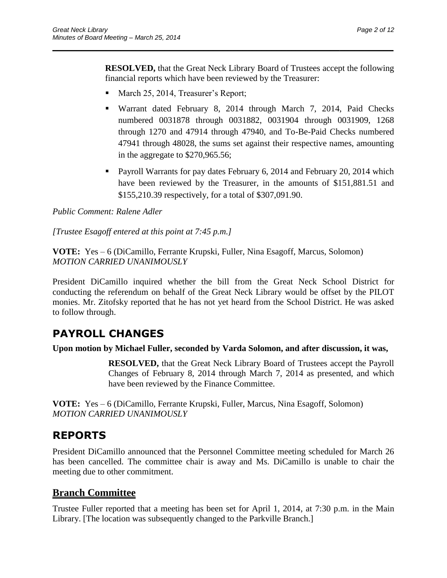**RESOLVED,** that the Great Neck Library Board of Trustees accept the following financial reports which have been reviewed by the Treasurer:

 $\overline{\phantom{a}}$  , and the contract of the contract of the contract of the contract of the contract of the contract of the contract of the contract of the contract of the contract of the contract of the contract of the contrac

- March 25, 2014, Treasurer's Report;
- Warrant dated February 8, 2014 through March 7, 2014, Paid Checks numbered 0031878 through 0031882, 0031904 through 0031909, 1268 through 1270 and 47914 through 47940, and To-Be-Paid Checks numbered 47941 through 48028, the sums set against their respective names, amounting in the aggregate to \$270,965.56;
- **Payroll Warrants for pay dates February 6, 2014 and February 20, 2014 which** have been reviewed by the Treasurer, in the amounts of \$151,881.51 and \$155,210.39 respectively, for a total of \$307,091.90.

## *Public Comment: Ralene Adler*

*[Trustee Esagoff entered at this point at 7:45 p.m.]*

**VOTE:** Yes – 6 (DiCamillo, Ferrante Krupski, Fuller, Nina Esagoff, Marcus, Solomon) *MOTION CARRIED UNANIMOUSLY*

President DiCamillo inquired whether the bill from the Great Neck School District for conducting the referendum on behalf of the Great Neck Library would be offset by the PILOT monies. Mr. Zitofsky reported that he has not yet heard from the School District. He was asked to follow through.

# **PAYROLL CHANGES**

**Upon motion by Michael Fuller, seconded by Varda Solomon, and after discussion, it was,**

**RESOLVED,** that the Great Neck Library Board of Trustees accept the Payroll Changes of February 8, 2014 through March 7, 2014 as presented, and which have been reviewed by the Finance Committee.

**VOTE:** Yes – 6 (DiCamillo, Ferrante Krupski, Fuller, Marcus, Nina Esagoff, Solomon) *MOTION CARRIED UNANIMOUSLY*

# **REPORTS**

President DiCamillo announced that the Personnel Committee meeting scheduled for March 26 has been cancelled. The committee chair is away and Ms. DiCamillo is unable to chair the meeting due to other commitment.

# **Branch Committee**

Trustee Fuller reported that a meeting has been set for April 1, 2014, at 7:30 p.m. in the Main Library. [The location was subsequently changed to the Parkville Branch.]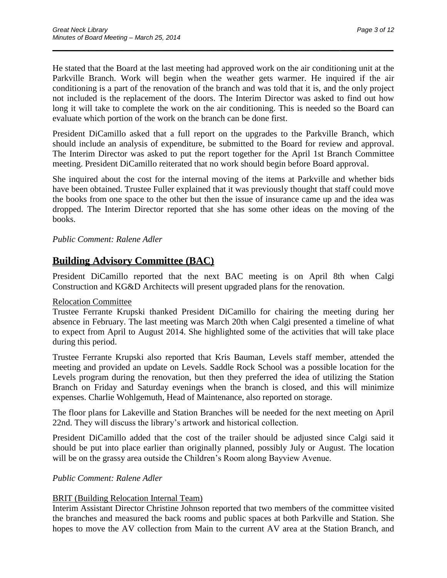He stated that the Board at the last meeting had approved work on the air conditioning unit at the Parkville Branch. Work will begin when the weather gets warmer. He inquired if the air conditioning is a part of the renovation of the branch and was told that it is, and the only project not included is the replacement of the doors. The Interim Director was asked to find out how long it will take to complete the work on the air conditioning. This is needed so the Board can evaluate which portion of the work on the branch can be done first.

 $\overline{\phantom{a}}$  , and the contract of the contract of the contract of the contract of the contract of the contract of the contract of the contract of the contract of the contract of the contract of the contract of the contrac

President DiCamillo asked that a full report on the upgrades to the Parkville Branch, which should include an analysis of expenditure, be submitted to the Board for review and approval. The Interim Director was asked to put the report together for the April 1st Branch Committee meeting. President DiCamillo reiterated that no work should begin before Board approval.

She inquired about the cost for the internal moving of the items at Parkville and whether bids have been obtained. Trustee Fuller explained that it was previously thought that staff could move the books from one space to the other but then the issue of insurance came up and the idea was dropped. The Interim Director reported that she has some other ideas on the moving of the books.

## *Public Comment: Ralene Adler*

# **Building Advisory Committee (BAC)**

President DiCamillo reported that the next BAC meeting is on April 8th when Calgi Construction and KG&D Architects will present upgraded plans for the renovation.

## Relocation Committee

Trustee Ferrante Krupski thanked President DiCamillo for chairing the meeting during her absence in February. The last meeting was March 20th when Calgi presented a timeline of what to expect from April to August 2014. She highlighted some of the activities that will take place during this period.

Trustee Ferrante Krupski also reported that Kris Bauman, Levels staff member, attended the meeting and provided an update on Levels. Saddle Rock School was a possible location for the Levels program during the renovation, but then they preferred the idea of utilizing the Station Branch on Friday and Saturday evenings when the branch is closed, and this will minimize expenses. Charlie Wohlgemuth, Head of Maintenance, also reported on storage.

The floor plans for Lakeville and Station Branches will be needed for the next meeting on April 22nd. They will discuss the library's artwork and historical collection.

President DiCamillo added that the cost of the trailer should be adjusted since Calgi said it should be put into place earlier than originally planned, possibly July or August. The location will be on the grassy area outside the Children's Room along Bayview Avenue.

## *Public Comment: Ralene Adler*

## BRIT (Building Relocation Internal Team)

Interim Assistant Director Christine Johnson reported that two members of the committee visited the branches and measured the back rooms and public spaces at both Parkville and Station. She hopes to move the AV collection from Main to the current AV area at the Station Branch, and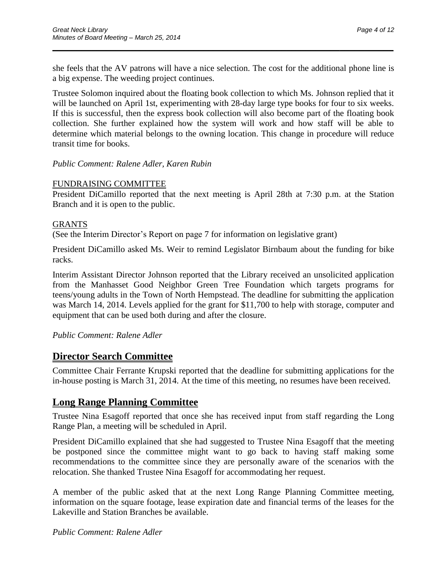she feels that the AV patrons will have a nice selection. The cost for the additional phone line is a big expense. The weeding project continues.

 $\overline{\phantom{a}}$  , and the contract of the contract of the contract of the contract of the contract of the contract of the contract of the contract of the contract of the contract of the contract of the contract of the contrac

Trustee Solomon inquired about the floating book collection to which Ms. Johnson replied that it will be launched on April 1st, experimenting with 28-day large type books for four to six weeks. If this is successful, then the express book collection will also become part of the floating book collection. She further explained how the system will work and how staff will be able to determine which material belongs to the owning location. This change in procedure will reduce transit time for books.

## *Public Comment: Ralene Adler, Karen Rubin*

## FUNDRAISING COMMITTEE

President DiCamillo reported that the next meeting is April 28th at 7:30 p.m. at the Station Branch and it is open to the public.

## GRANTS

(See the Interim Director's Report on page 7 for information on legislative grant)

President DiCamillo asked Ms. Weir to remind Legislator Birnbaum about the funding for bike racks.

Interim Assistant Director Johnson reported that the Library received an unsolicited application from the Manhasset Good Neighbor Green Tree Foundation which targets programs for teens/young adults in the Town of North Hempstead. The deadline for submitting the application was March 14, 2014. Levels applied for the grant for \$11,700 to help with storage, computer and equipment that can be used both during and after the closure.

## *Public Comment: Ralene Adler*

## **Director Search Committee**

Committee Chair Ferrante Krupski reported that the deadline for submitting applications for the in-house posting is March 31, 2014. At the time of this meeting, no resumes have been received.

# **Long Range Planning Committee**

Trustee Nina Esagoff reported that once she has received input from staff regarding the Long Range Plan, a meeting will be scheduled in April.

President DiCamillo explained that she had suggested to Trustee Nina Esagoff that the meeting be postponed since the committee might want to go back to having staff making some recommendations to the committee since they are personally aware of the scenarios with the relocation. She thanked Trustee Nina Esagoff for accommodating her request.

A member of the public asked that at the next Long Range Planning Committee meeting, information on the square footage, lease expiration date and financial terms of the leases for the Lakeville and Station Branches be available.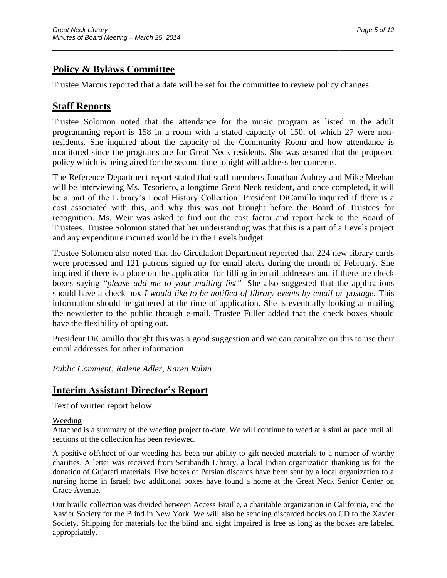# **Policy & Bylaws Committee**

Trustee Marcus reported that a date will be set for the committee to review policy changes.

 $\overline{\phantom{a}}$  , and the contract of the contract of the contract of the contract of the contract of the contract of the contract of the contract of the contract of the contract of the contract of the contract of the contrac

# **Staff Reports**

Trustee Solomon noted that the attendance for the music program as listed in the adult programming report is 158 in a room with a stated capacity of 150, of which 27 were nonresidents. She inquired about the capacity of the Community Room and how attendance is monitored since the programs are for Great Neck residents. She was assured that the proposed policy which is being aired for the second time tonight will address her concerns.

The Reference Department report stated that staff members Jonathan Aubrey and Mike Meehan will be interviewing Ms. Tesoriero, a longtime Great Neck resident, and once completed, it will be a part of the Library's Local History Collection. President DiCamillo inquired if there is a cost associated with this, and why this was not brought before the Board of Trustees for recognition. Ms. Weir was asked to find out the cost factor and report back to the Board of Trustees. Trustee Solomon stated that her understanding was that this is a part of a Levels project and any expenditure incurred would be in the Levels budget.

Trustee Solomon also noted that the Circulation Department reported that 224 new library cards were processed and 121 patrons signed up for email alerts during the month of February. She inquired if there is a place on the application for filling in email addresses and if there are check boxes saying "*please add me to your mailing list".* She also suggested that the applications should have a check box *I would like to be notified of library events by email or postage.* This information should be gathered at the time of application*.* She is eventually looking at mailing the newsletter to the public through e-mail. Trustee Fuller added that the check boxes should have the flexibility of opting out.

President DiCamillo thought this was a good suggestion and we can capitalize on this to use their email addresses for other information.

*Public Comment: Ralene Adler, Karen Rubin*

# **Interim Assistant Director's Report**

Text of written report below:

## Weeding

Attached is a summary of the weeding project to-date. We will continue to weed at a similar pace until all sections of the collection has been reviewed.

A positive offshoot of our weeding has been our ability to gift needed materials to a number of worthy charities. A letter was received from Setubandh Library, a local Indian organization thanking us for the donation of Gujarati materials. Five boxes of Persian discards have been sent by a local organization to a nursing home in Israel; two additional boxes have found a home at the Great Neck Senior Center on Grace Avenue.

Our braille collection was divided between Access Braille, a charitable organization in California, and the Xavier Society for the Blind in New York. We will also be sending discarded books on CD to the Xavier Society. Shipping for materials for the blind and sight impaired is free as long as the boxes are labeled appropriately.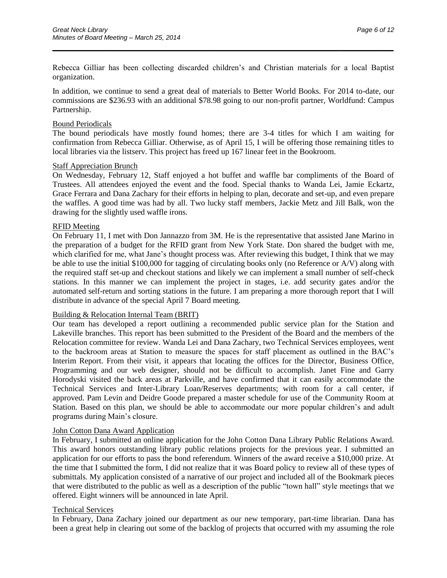Rebecca Gilliar has been collecting discarded children's and Christian materials for a local Baptist organization.

 $\overline{\phantom{a}}$  , and the contract of the contract of the contract of the contract of the contract of the contract of the contract of the contract of the contract of the contract of the contract of the contract of the contrac

In addition, we continue to send a great deal of materials to Better World Books. For 2014 to-date, our commissions are \$236.93 with an additional \$78.98 going to our non-profit partner, Worldfund: Campus Partnership.

#### Bound Periodicals

The bound periodicals have mostly found homes; there are 3-4 titles for which I am waiting for confirmation from Rebecca Gilliar. Otherwise, as of April 15, I will be offering those remaining titles to local libraries via the listserv. This project has freed up 167 linear feet in the Bookroom.

#### Staff Appreciation Brunch

On Wednesday, February 12, Staff enjoyed a hot buffet and waffle bar compliments of the Board of Trustees. All attendees enjoyed the event and the food. Special thanks to Wanda Lei, Jamie Eckartz, Grace Ferrara and Dana Zachary for their efforts in helping to plan, decorate and set-up, and even prepare the waffles. A good time was had by all. Two lucky staff members, Jackie Metz and Jill Balk, won the drawing for the slightly used waffle irons.

#### RFID Meeting

On February 11, I met with Don Jannazzo from 3M. He is the representative that assisted Jane Marino in the preparation of a budget for the RFID grant from New York State. Don shared the budget with me, which clarified for me, what Jane's thought process was. After reviewing this budget, I think that we may be able to use the initial \$100,000 for tagging of circulating books only (no Reference or A/V) along with the required staff set-up and checkout stations and likely we can implement a small number of self-check stations. In this manner we can implement the project in stages, i.e. add security gates and/or the automated self-return and sorting stations in the future. I am preparing a more thorough report that I will distribute in advance of the special April 7 Board meeting.

#### Building & Relocation Internal Team (BRIT)

Our team has developed a report outlining a recommended public service plan for the Station and Lakeville branches. This report has been submitted to the President of the Board and the members of the Relocation committee for review. Wanda Lei and Dana Zachary, two Technical Services employees, went to the backroom areas at Station to measure the spaces for staff placement as outlined in the BAC's Interim Report. From their visit, it appears that locating the offices for the Director, Business Office, Programming and our web designer, should not be difficult to accomplish. Janet Fine and Garry Horodyski visited the back areas at Parkville, and have confirmed that it can easily accommodate the Technical Services and Inter-Library Loan/Reserves departments; with room for a call center, if approved. Pam Levin and Deidre Goode prepared a master schedule for use of the Community Room at Station. Based on this plan, we should be able to accommodate our more popular children's and adult programs during Main's closure.

#### John Cotton Dana Award Application

In February, I submitted an online application for the John Cotton Dana Library Public Relations Award. This award honors outstanding library public relations projects for the previous year. I submitted an application for our efforts to pass the bond referendum. Winners of the award receive a \$10,000 prize. At the time that I submitted the form, I did not realize that it was Board policy to review all of these types of submittals. My application consisted of a narrative of our project and included all of the Bookmark pieces that were distributed to the public as well as a description of the public "town hall" style meetings that we offered. Eight winners will be announced in late April.

#### Technical Services

In February, Dana Zachary joined our department as our new temporary, part-time librarian. Dana has been a great help in clearing out some of the backlog of projects that occurred with my assuming the role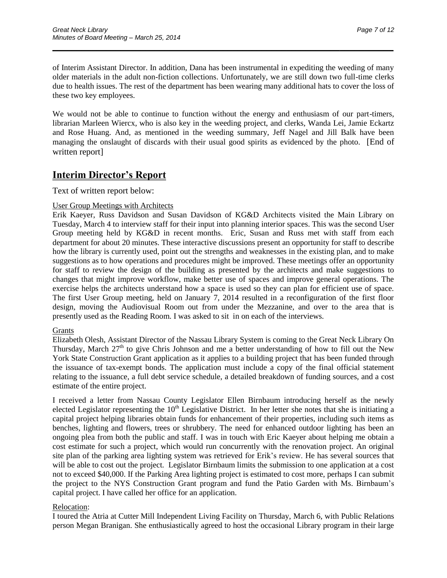of Interim Assistant Director. In addition, Dana has been instrumental in expediting the weeding of many older materials in the adult non-fiction collections. Unfortunately, we are still down two full-time clerks due to health issues. The rest of the department has been wearing many additional hats to cover the loss of these two key employees.

 $\overline{\phantom{a}}$  , and the contract of the contract of the contract of the contract of the contract of the contract of the contract of the contract of the contract of the contract of the contract of the contract of the contrac

We would not be able to continue to function without the energy and enthusiasm of our part-timers, librarian Marleen Wiercx, who is also key in the weeding project, and clerks, Wanda Lei, Jamie Eckartz and Rose Huang. And, as mentioned in the weeding summary, Jeff Nagel and Jill Balk have been managing the onslaught of discards with their usual good spirits as evidenced by the photo. [End of written report]

# **Interim Director's Report**

Text of written report below:

#### User Group Meetings with Architects

Erik Kaeyer, Russ Davidson and Susan Davidson of KG&D Architects visited the Main Library on Tuesday, March 4 to interview staff for their input into planning interior spaces. This was the second User Group meeting held by KG&D in recent months. Eric, Susan and Russ met with staff from each department for about 20 minutes. These interactive discussions present an opportunity for staff to describe how the library is currently used, point out the strengths and weaknesses in the existing plan, and to make suggestions as to how operations and procedures might be improved. These meetings offer an opportunity for staff to review the design of the building as presented by the architects and make suggestions to changes that might improve workflow, make better use of spaces and improve general operations. The exercise helps the architects understand how a space is used so they can plan for efficient use of space. The first User Group meeting, held on January 7, 2014 resulted in a reconfiguration of the first floor design, moving the Audiovisual Room out from under the Mezzanine, and over to the area that is presently used as the Reading Room. I was asked to sit in on each of the interviews.

#### Grants

Elizabeth Olesh, Assistant Director of the Nassau Library System is coming to the Great Neck Library On Thursday, March  $27<sup>th</sup>$  to give Chris Johnson and me a better understanding of how to fill out the New York State Construction Grant application as it applies to a building project that has been funded through the issuance of tax-exempt bonds. The application must include a copy of the final official statement relating to the issuance, a full debt service schedule, a detailed breakdown of funding sources, and a cost estimate of the entire project.

I received a letter from Nassau County Legislator Ellen Birnbaum introducing herself as the newly elected Legislator representing the  $10<sup>th</sup>$  Legislative District. In her letter she notes that she is initiating a capital project helping libraries obtain funds for enhancement of their properties, including such items as benches, lighting and flowers, trees or shrubbery. The need for enhanced outdoor lighting has been an ongoing plea from both the public and staff. I was in touch with Eric Kaeyer about helping me obtain a cost estimate for such a project, which would run concurrently with the renovation project. An original site plan of the parking area lighting system was retrieved for Erik's review. He has several sources that will be able to cost out the project. Legislator Birnbaum limits the submission to one application at a cost not to exceed \$40,000. If the Parking Area lighting project is estimated to cost more, perhaps I can submit the project to the NYS Construction Grant program and fund the Patio Garden with Ms. Birnbaum's capital project. I have called her office for an application.

## Relocation:

I toured the Atria at Cutter Mill Independent Living Facility on Thursday, March 6, with Public Relations person Megan Branigan. She enthusiastically agreed to host the occasional Library program in their large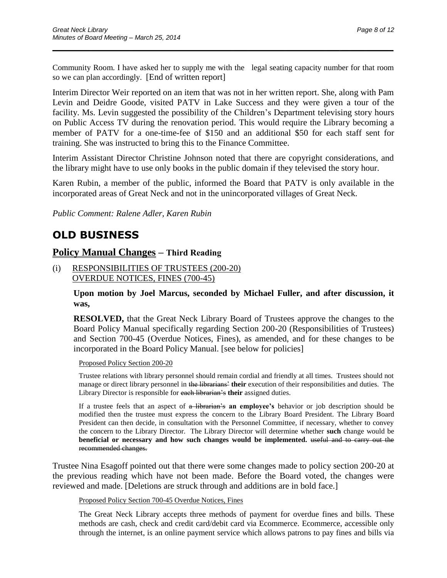Community Room. I have asked her to supply me with the legal seating capacity number for that room so we can plan accordingly. [End of written report]

 $\overline{\phantom{a}}$  , and the contract of the contract of the contract of the contract of the contract of the contract of the contract of the contract of the contract of the contract of the contract of the contract of the contrac

Interim Director Weir reported on an item that was not in her written report. She, along with Pam Levin and Deidre Goode, visited PATV in Lake Success and they were given a tour of the facility. Ms. Levin suggested the possibility of the Children's Department televising story hours on Public Access TV during the renovation period. This would require the Library becoming a member of PATV for a one-time-fee of \$150 and an additional \$50 for each staff sent for training. She was instructed to bring this to the Finance Committee.

Interim Assistant Director Christine Johnson noted that there are copyright considerations, and the library might have to use only books in the public domain if they televised the story hour.

Karen Rubin, a member of the public, informed the Board that PATV is only available in the incorporated areas of Great Neck and not in the unincorporated villages of Great Neck.

*Public Comment: Ralene Adler, Karen Rubin*

# **OLD BUSINESS**

## **Policy Manual Changes – Third Reading**

(i) RESPONSIBILITIES OF TRUSTEES (200-20) OVERDUE NOTICES, FINES (700-45)

> **Upon motion by Joel Marcus, seconded by Michael Fuller, and after discussion, it was,**

> **RESOLVED,** that the Great Neck Library Board of Trustees approve the changes to the Board Policy Manual specifically regarding Section 200-20 (Responsibilities of Trustees) and Section 700-45 (Overdue Notices, Fines), as amended, and for these changes to be incorporated in the Board Policy Manual. [see below for policies]

Proposed Policy Section 200-20

Trustee relations with library personnel should remain cordial and friendly at all times. Trustees should not manage or direct library personnel in the librarians' **their** execution of their responsibilities and duties. The Library Director is responsible for each librarian's **their** assigned duties.

If a trustee feels that an aspect of a librarian's **an employee's** behavior or job description should be modified then the trustee must express the concern to the Library Board President. The Library Board President can then decide, in consultation with the Personnel Committee, if necessary, whether to convey the concern to the Library Director. The Library Director will determine whether **such** change would be **beneficial or necessary and how such changes would be implemented.** useful and to carry out the recommended changes.

Trustee Nina Esagoff pointed out that there were some changes made to policy section 200-20 at the previous reading which have not been made. Before the Board voted, the changes were reviewed and made. [Deletions are struck through and additions are in bold face.]

Proposed Policy Section 700-45 Overdue Notices, Fines

The Great Neck Library accepts three methods of payment for overdue fines and bills. These methods are cash, check and credit card/debit card via Ecommerce. Ecommerce, accessible only through the internet, is an online payment service which allows patrons to pay fines and bills via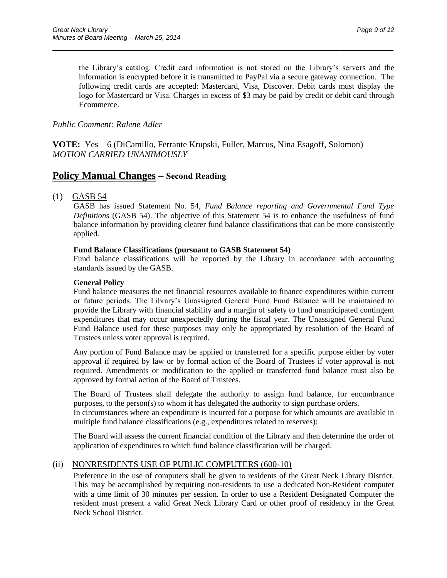the Library's catalog. Credit card information is not stored on the Library's servers and the information is encrypted before it is transmitted to PayPal via a secure gateway connection. The following credit cards are accepted: Mastercard, Visa, Discover. Debit cards must display the logo for Mastercard or Visa. Charges in excess of \$3 may be paid by credit or debit card through Ecommerce.

 $\overline{\phantom{a}}$  , and the contract of the contract of the contract of the contract of the contract of the contract of the contract of the contract of the contract of the contract of the contract of the contract of the contrac

#### *Public Comment: Ralene Adler*

**VOTE:** Yes – 6 (DiCamillo, Ferrante Krupski, Fuller, Marcus, Nina Esagoff, Solomon) *MOTION CARRIED UNANIMOUSLY*

## **Policy Manual Changes – Second Reading**

#### (1) GASB 54

GASB has issued Statement No. 54, *Fund Balance reporting and Governmental Fund Type Definitions* (GASB 54). The objective of this Statement 54 is to enhance the usefulness of fund balance information by providing clearer fund balance classifications that can be more consistently applied.

#### **Fund Balance Classifications (pursuant to GASB Statement 54)**

Fund balance classifications will be reported by the Library in accordance with accounting standards issued by the GASB.

#### **General Policy**

Fund balance measures the net financial resources available to finance expenditures within current or future periods. The Library's Unassigned General Fund Fund Balance will be maintained to provide the Library with financial stability and a margin of safety to fund unanticipated contingent expenditures that may occur unexpectedly during the fiscal year. The Unassigned General Fund Fund Balance used for these purposes may only be appropriated by resolution of the Board of Trustees unless voter approval is required.

Any portion of Fund Balance may be applied or transferred for a specific purpose either by voter approval if required by law or by formal action of the Board of Trustees if voter approval is not required. Amendments or modification to the applied or transferred fund balance must also be approved by formal action of the Board of Trustees.

The Board of Trustees shall delegate the authority to assign fund balance, for encumbrance purposes, to the person(s) to whom it has delegated the authority to sign purchase orders. In circumstances where an expenditure is incurred for a purpose for which amounts are available in

multiple fund balance classifications (e.g., expenditures related to reserves):

The Board will assess the current financial condition of the Library and then determine the order of application of expenditures to which fund balance classification will be charged.

#### (ii) NONRESIDENTS USE OF PUBLIC COMPUTERS (600-10)

Preference in the use of computers shall be given to residents of the Great Neck Library District. This may be accomplished by requiring non-residents to use a dedicated Non-Resident computer with a time limit of 30 minutes per session. In order to use a Resident Designated Computer the resident must present a valid Great Neck Library Card or other proof of residency in the Great Neck School District.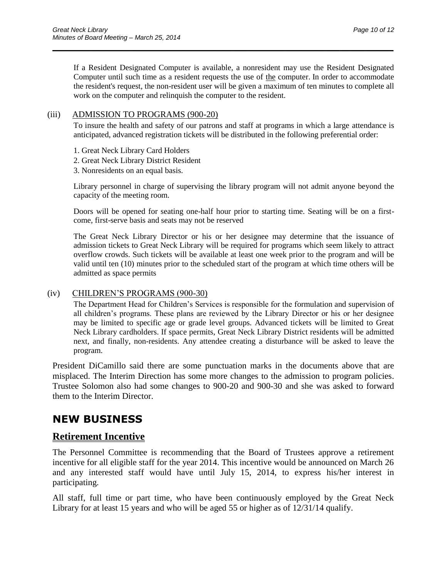If a Resident Designated Computer is available, a nonresident may use the Resident Designated Computer until such time as a resident requests the use of the computer. In order to accommodate the resident's request, the non-resident user will be given a maximum of ten minutes to complete all work on the computer and relinquish the computer to the resident.

 $\overline{\phantom{a}}$  , and the contract of the contract of the contract of the contract of the contract of the contract of the contract of the contract of the contract of the contract of the contract of the contract of the contrac

### (iii) ADMISSION TO PROGRAMS (900-20)

To insure the health and safety of our patrons and staff at programs in which a large attendance is anticipated, advanced registration tickets will be distributed in the following preferential order:

- 1. Great Neck Library Card Holders
- 2. Great Neck Library District Resident
- 3. Nonresidents on an equal basis.

Library personnel in charge of supervising the library program will not admit anyone beyond the capacity of the meeting room.

Doors will be opened for seating one-half hour prior to starting time. Seating will be on a firstcome, first-serve basis and seats may not be reserved

The Great Neck Library Director or his or her designee may determine that the issuance of admission tickets to Great Neck Library will be required for programs which seem likely to attract overflow crowds. Such tickets will be available at least one week prior to the program and will be valid until ten (10) minutes prior to the scheduled start of the program at which time others will be admitted as space permits

## (iv) CHILDREN'S PROGRAMS (900-30)

The Department Head for Children's Services is responsible for the formulation and supervision of all children's programs. These plans are reviewed by the Library Director or his or her designee may be limited to specific age or grade level groups. Advanced tickets will be limited to Great Neck Library cardholders. If space permits, Great Neck Library District residents will be admitted next, and finally, non-residents. Any attendee creating a disturbance will be asked to leave the program.

President DiCamillo said there are some punctuation marks in the documents above that are misplaced. The Interim Direction has some more changes to the admission to program policies. Trustee Solomon also had some changes to 900-20 and 900-30 and she was asked to forward them to the Interim Director.

# **NEW BUSINESS**

# **Retirement Incentive**

The Personnel Committee is recommending that the Board of Trustees approve a retirement incentive for all eligible staff for the year 2014. This incentive would be announced on March 26 and any interested staff would have until July 15, 2014, to express his/her interest in participating.

All staff, full time or part time, who have been continuously employed by the Great Neck Library for at least 15 years and who will be aged 55 or higher as of 12/31/14 qualify.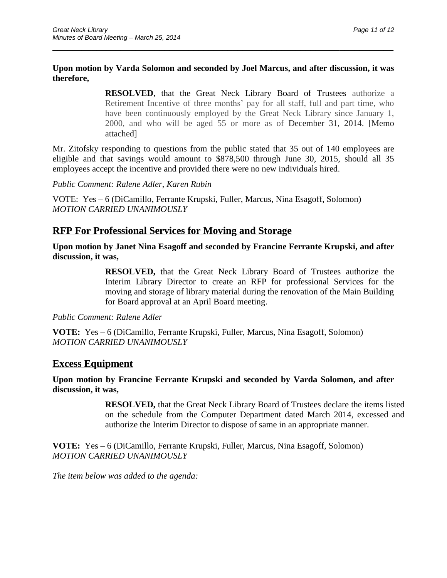## **Upon motion by Varda Solomon and seconded by Joel Marcus, and after discussion, it was therefore,**

 $\overline{\phantom{a}}$  , and the contract of the contract of the contract of the contract of the contract of the contract of the contract of the contract of the contract of the contract of the contract of the contract of the contrac

**RESOLVED**, that the Great Neck Library Board of Trustees authorize a Retirement Incentive of three months' pay for all staff, full and part time, who have been continuously employed by the Great Neck Library since January 1, 2000, and who will be aged 55 or more as of December 31, 2014. [Memo attached]

Mr. Zitofsky responding to questions from the public stated that 35 out of 140 employees are eligible and that savings would amount to \$878,500 through June 30, 2015, should all 35 employees accept the incentive and provided there were no new individuals hired.

*Public Comment: Ralene Adler, Karen Rubin*

VOTE: Yes – 6 (DiCamillo, Ferrante Krupski, Fuller, Marcus, Nina Esagoff, Solomon) *MOTION CARRIED UNANIMOUSLY*

# **RFP For Professional Services for Moving and Storage**

**Upon motion by Janet Nina Esagoff and seconded by Francine Ferrante Krupski, and after discussion, it was,**

> **RESOLVED,** that the Great Neck Library Board of Trustees authorize the Interim Library Director to create an RFP for professional Services for the moving and storage of library material during the renovation of the Main Building for Board approval at an April Board meeting.

*Public Comment: Ralene Adler*

**VOTE:** Yes – 6 (DiCamillo, Ferrante Krupski, Fuller, Marcus, Nina Esagoff, Solomon) *MOTION CARRIED UNANIMOUSLY*

## **Excess Equipment**

**Upon motion by Francine Ferrante Krupski and seconded by Varda Solomon, and after discussion, it was,**

> **RESOLVED,** that the Great Neck Library Board of Trustees declare the items listed on the schedule from the Computer Department dated March 2014, excessed and authorize the Interim Director to dispose of same in an appropriate manner.

**VOTE:** Yes – 6 (DiCamillo, Ferrante Krupski, Fuller, Marcus, Nina Esagoff, Solomon) *MOTION CARRIED UNANIMOUSLY*

*The item below was added to the agenda:*